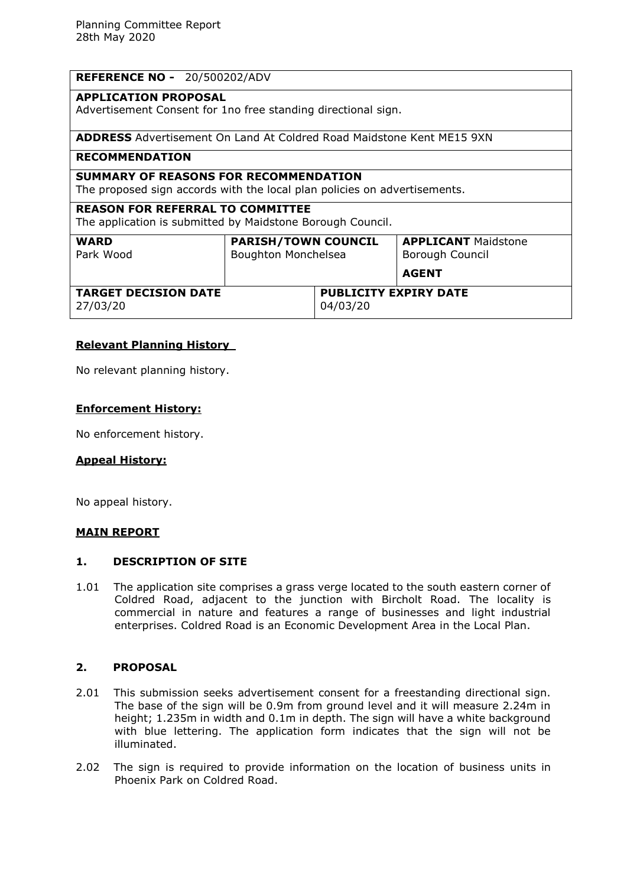| <b>REFERENCE NO - 20/500202/ADV</b>                                                                                       |                                                   |                                          |                                                               |
|---------------------------------------------------------------------------------------------------------------------------|---------------------------------------------------|------------------------------------------|---------------------------------------------------------------|
| <b>APPLICATION PROPOSAL</b><br>Advertisement Consent for 1no free standing directional sign.                              |                                                   |                                          |                                                               |
| <b>ADDRESS</b> Advertisement On Land At Coldred Road Maidstone Kent ME15 9XN                                              |                                                   |                                          |                                                               |
| <b>RECOMMENDATION</b>                                                                                                     |                                                   |                                          |                                                               |
| <b>SUMMARY OF REASONS FOR RECOMMENDATION</b><br>The proposed sign accords with the local plan policies on advertisements. |                                                   |                                          |                                                               |
| <b>REASON FOR REFERRAL TO COMMITTEE</b><br>The application is submitted by Maidstone Borough Council.                     |                                                   |                                          |                                                               |
| <b>WARD</b><br>Park Wood                                                                                                  | <b>PARISH/TOWN COUNCIL</b><br>Boughton Monchelsea |                                          | <b>APPLICANT Maidstone</b><br>Borough Council<br><b>AGENT</b> |
| <b>TARGET DECISION DATE</b><br>27/03/20                                                                                   |                                                   | <b>PUBLICITY EXPIRY DATE</b><br>04/03/20 |                                                               |

## **Relevant Planning History**

No relevant planning history.

#### **Enforcement History:**

No enforcement history.

### **Appeal History:**

No appeal history.

### **MAIN REPORT**

#### **1. DESCRIPTION OF SITE**

1.01 The application site comprises a grass verge located to the south eastern corner of Coldred Road, adjacent to the junction with Bircholt Road. The locality is commercial in nature and features a range of businesses and light industrial enterprises. Coldred Road is an Economic Development Area in the Local Plan.

# **2. PROPOSAL**

- 2.01 This submission seeks advertisement consent for a freestanding directional sign. The base of the sign will be 0.9m from ground level and it will measure 2.24m in height; 1.235m in width and 0.1m in depth. The sign will have a white background with blue lettering. The application form indicates that the sign will not be illuminated.
- 2.02 The sign is required to provide information on the location of business units in Phoenix Park on Coldred Road.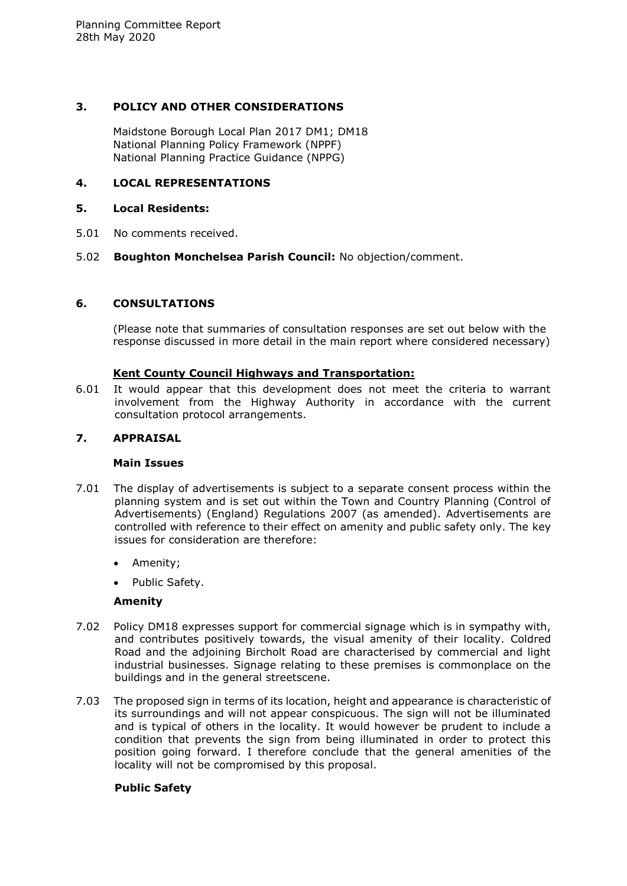# **3. POLICY AND OTHER CONSIDERATIONS**

Maidstone Borough Local Plan 2017 DM1; DM18 National Planning Policy Framework (NPPF) National Planning Practice Guidance (NPPG)

# **4. LOCAL REPRESENTATIONS**

## **5. Local Residents:**

- 5.01 No comments received.
- 5.02 **Boughton Monchelsea Parish Council:** No objection/comment.

# **6. CONSULTATIONS**

(Please note that summaries of consultation responses are set out below with the response discussed in more detail in the main report where considered necessary)

## **Kent County Council Highways and Transportation:**

6.01 It would appear that this development does not meet the criteria to warrant involvement from the Highway Authority in accordance with the current consultation protocol arrangements.

### **7. APPRAISAL**

### **Main Issues**

- 7.01 The display of advertisements is subject to a separate consent process within the planning system and is set out within the Town and Country Planning (Control of Advertisements) (England) Regulations 2007 (as amended). Advertisements are controlled with reference to their effect on amenity and public safety only. The key issues for consideration are therefore:
	- Amenity;
	- Public Safety.

### **Amenity**

- 7.02 Policy DM18 expresses support for commercial signage which is in sympathy with, and contributes positively towards, the visual amenity of their locality. Coldred Road and the adjoining Bircholt Road are characterised by commercial and light industrial businesses. Signage relating to these premises is commonplace on the buildings and in the general streetscene.
- 7.03 The proposed sign in terms of its location, height and appearance is characteristic of its surroundings and will not appear conspicuous. The sign will not be illuminated and is typical of others in the locality. It would however be prudent to include a condition that prevents the sign from being illuminated in order to protect this position going forward. I therefore conclude that the general amenities of the locality will not be compromised by this proposal.

# **Public Safety**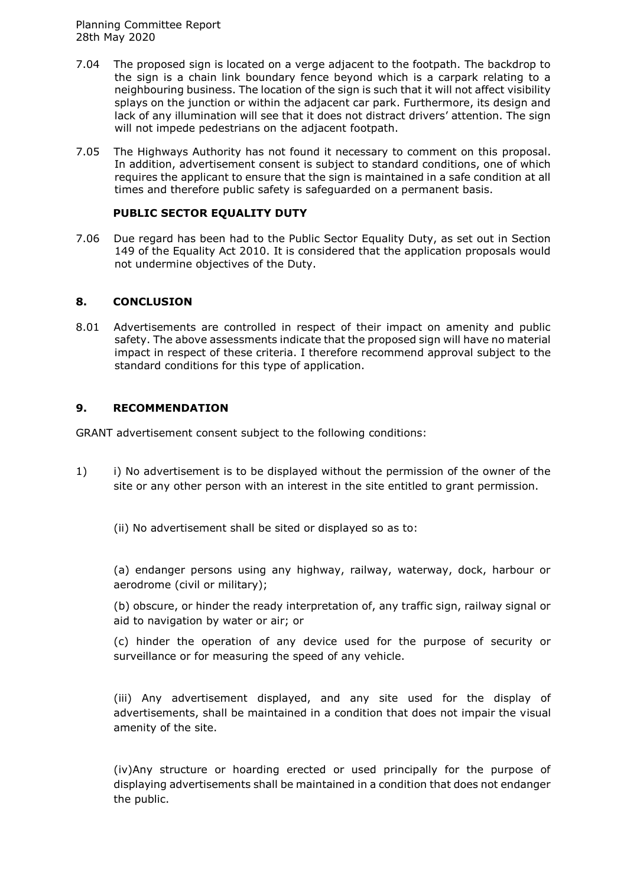Planning Committee Report 28th May 2020

- 7.04 The proposed sign is located on a verge adjacent to the footpath. The backdrop to the sign is a chain link boundary fence beyond which is a carpark relating to a neighbouring business. The location of the sign is such that it will not affect visibility splays on the junction or within the adjacent car park. Furthermore, its design and lack of any illumination will see that it does not distract drivers' attention. The sign will not impede pedestrians on the adjacent footpath.
- 7.05 The Highways Authority has not found it necessary to comment on this proposal. In addition, advertisement consent is subject to standard conditions, one of which requires the applicant to ensure that the sign is maintained in a safe condition at all times and therefore public safety is safeguarded on a permanent basis.

### **PUBLIC SECTOR EQUALITY DUTY**

7.06 Due regard has been had to the Public Sector Equality Duty, as set out in Section 149 of the Equality Act 2010. It is considered that the application proposals would not undermine objectives of the Duty.

# **8. CONCLUSION**

8.01 Advertisements are controlled in respect of their impact on amenity and public safety. The above assessments indicate that the proposed sign will have no material impact in respect of these criteria. I therefore recommend approval subject to the standard conditions for this type of application.

## **9. RECOMMENDATION**

GRANT advertisement consent subject to the following conditions:

- 1) i) No advertisement is to be displayed without the permission of the owner of the site or any other person with an interest in the site entitled to grant permission.
	- (ii) No advertisement shall be sited or displayed so as to:

(a) endanger persons using any highway, railway, waterway, dock, harbour or aerodrome (civil or military);

(b) obscure, or hinder the ready interpretation of, any traffic sign, railway signal or aid to navigation by water or air; or

(c) hinder the operation of any device used for the purpose of security or surveillance or for measuring the speed of any vehicle.

(iii) Any advertisement displayed, and any site used for the display of advertisements, shall be maintained in a condition that does not impair the visual amenity of the site.

(iv)Any structure or hoarding erected or used principally for the purpose of displaying advertisements shall be maintained in a condition that does not endanger the public.